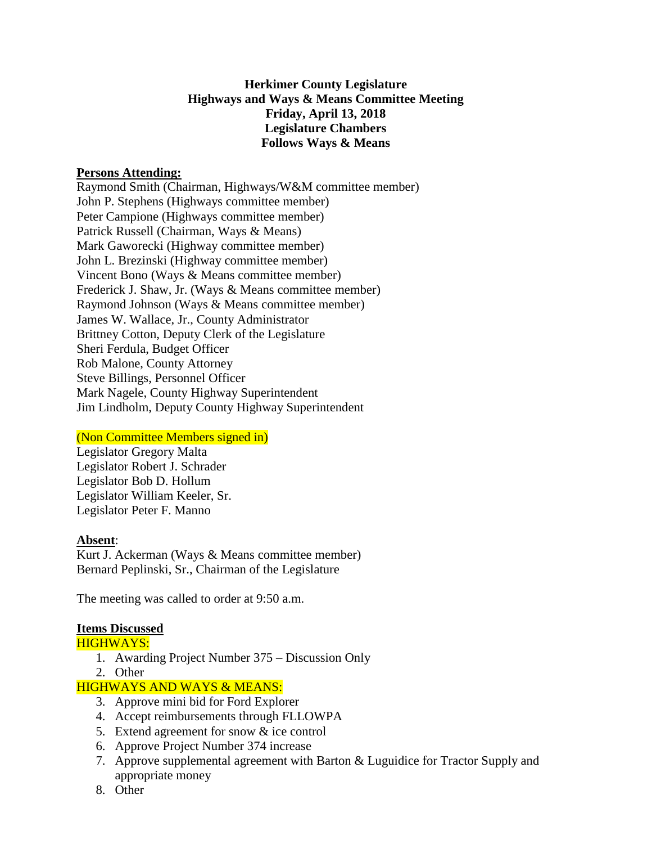## **Herkimer County Legislature Highways and Ways & Means Committee Meeting Friday, April 13, 2018 Legislature Chambers Follows Ways & Means**

#### **Persons Attending:**

Raymond Smith (Chairman, Highways/W&M committee member) John P. Stephens (Highways committee member) Peter Campione (Highways committee member) Patrick Russell (Chairman, Ways & Means) Mark Gaworecki (Highway committee member) John L. Brezinski (Highway committee member) Vincent Bono (Ways & Means committee member) Frederick J. Shaw, Jr. (Ways & Means committee member) Raymond Johnson (Ways & Means committee member) James W. Wallace, Jr., County Administrator Brittney Cotton, Deputy Clerk of the Legislature Sheri Ferdula, Budget Officer Rob Malone, County Attorney Steve Billings, Personnel Officer Mark Nagele, County Highway Superintendent Jim Lindholm, Deputy County Highway Superintendent

### (Non Committee Members signed in)

Legislator Gregory Malta Legislator Robert J. Schrader Legislator Bob D. Hollum Legislator William Keeler, Sr. Legislator Peter F. Manno

#### **Absent**:

Kurt J. Ackerman (Ways & Means committee member) Bernard Peplinski, Sr., Chairman of the Legislature

The meeting was called to order at 9:50 a.m.

### **Items Discussed**

### HIGHWAYS:

- 1. Awarding Project Number 375 Discussion Only
- 2. Other

### HIGHWAYS AND WAYS & MEANS:

- 3. Approve mini bid for Ford Explorer
- 4. Accept reimbursements through FLLOWPA
- 5. Extend agreement for snow & ice control
- 6. Approve Project Number 374 increase
- 7. Approve supplemental agreement with Barton & Luguidice for Tractor Supply and appropriate money
- 8. Other